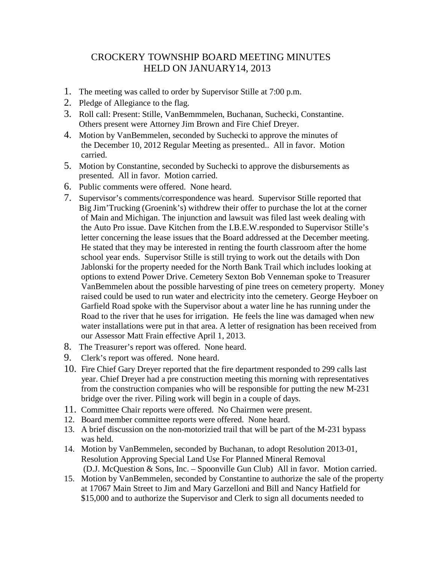## CROCKERY TOWNSHIP BOARD MEETING MINUTES HELD ON JANUARY14, 2013

- 1. The meeting was called to order by Supervisor Stille at 7:00 p.m.
- 2. Pledge of Allegiance to the flag.
- 3. Roll call: Present: Stille, VanBemmmelen, Buchanan, Suchecki, Constantine. Others present were Attorney Jim Brown and Fire Chief Dreyer.
- 4. Motion by VanBemmelen, seconded by Suchecki to approve the minutes of the December 10, 2012 Regular Meeting as presented.. All in favor. Motion carried.
- 5. Motion by Constantine, seconded by Suchecki to approve the disbursements as presented. All in favor. Motion carried.
- 6. Public comments were offered. None heard.
- 7. Supervisor's comments/correspondence was heard. Supervisor Stille reported that Big Jim'Trucking (Groenink's) withdrew their offer to purchase the lot at the corner of Main and Michigan. The injunction and lawsuit was filed last week dealing with the Auto Pro issue. Dave Kitchen from the I.B.E.W.responded to Supervisor Stille's letter concerning the lease issues that the Board addressed at the December meeting. He stated that they may be interested in renting the fourth classroom after the home school year ends. Supervisor Stille is still trying to work out the details with Don Jablonski for the property needed for the North Bank Trail which includes looking at options to extend Power Drive. Cemetery Sexton Bob Venneman spoke to Treasurer VanBemmelen about the possible harvesting of pine trees on cemetery property. Money raised could be used to run water and electricity into the cemetery. George Heyboer on Garfield Road spoke with the Supervisor about a water line he has running under the Road to the river that he uses for irrigation. He feels the line was damaged when new water installations were put in that area. A letter of resignation has been received from our Assessor Matt Frain effective April 1, 2013.
- 8. The Treasurer's report was offered. None heard.
- 9. Clerk's report was offered. None heard.
- 10. Fire Chief Gary Dreyer reported that the fire department responded to 299 calls last year. Chief Dreyer had a pre construction meeting this morning with representatives from the construction companies who will be responsible for putting the new M-231 bridge over the river. Piling work will begin in a couple of days.
- 11. Committee Chair reports were offered. No Chairmen were present.
- 12. Board member committee reports were offered. None heard.
- 13. A brief discussion on the non-motorizied trail that will be part of the M-231 bypass was held.
- 14. Motion by VanBemmelen, seconded by Buchanan, to adopt Resolution 2013-01, Resolution Approving Special Land Use For Planned Mineral Removal (D.J. McQuestion & Sons, Inc. – Spoonville Gun Club) All in favor. Motion carried.
- 15. Motion by VanBemmelen, seconded by Constantine to authorize the sale of the property at 17067 Main Street to Jim and Mary Garzelloni and Bill and Nancy Hatfield for \$15,000 and to authorize the Supervisor and Clerk to sign all documents needed to